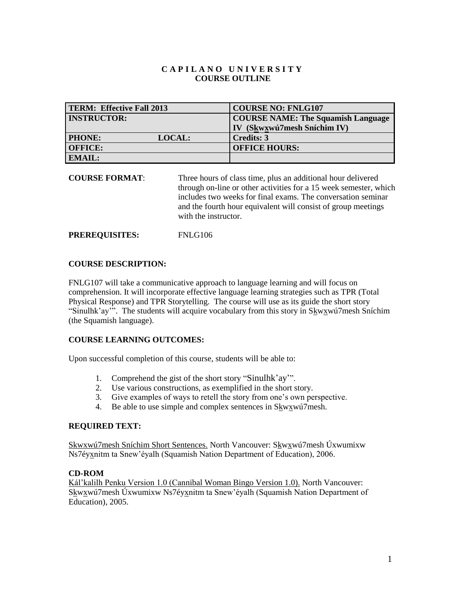## **C A P I L A N O U N I V E R S I T Y COURSE OUTLINE**

| <b>TERM: Effective Fall 2013</b> | <b>COURSE NO: FNLG107</b>                 |
|----------------------------------|-------------------------------------------|
| <b>INSTRUCTOR:</b>               | <b>COURSE NAME: The Squamish Language</b> |
|                                  | IV (Skwxwú7mesh Sníchim IV)               |
| <b>PHONE:</b><br><b>LOCAL:</b>   | <b>Credits: 3</b>                         |
| <b>OFFICE:</b>                   | <b>OFFICE HOURS:</b>                      |
| <b>EMAIL:</b>                    |                                           |

**COURSE FORMAT**: Three hours of class time, plus an additional hour delivered through on-line or other activities for a 15 week semester, which includes two weeks for final exams. The conversation seminar and the fourth hour equivalent will consist of group meetings with the instructor.

**PREREQUISITES:** FNLG106

#### **COURSE DESCRIPTION:**

FNLG107 will take a communicative approach to language learning and will focus on comprehension. It will incorporate effective language learning strategies such as TPR (Total Physical Response) and TPR Storytelling. The course will use as its guide the short story "Sinulhk'ay'". The students will acquire vocabulary from this story in Skwxwú7mesh Sníchim (the Squamish language).

#### **COURSE LEARNING OUTCOMES:**

Upon successful completion of this course, students will be able to:

- 1. Comprehend the gist of the short story "Sinulhk'ay'".
- 2. Use various constructions, as exemplified in the short story.
- 3. Give examples of ways to retell the story from one's own perspective.
- 4. Be able to use simple and complex sentences in Skwxwú7mesh.

#### **REQUIRED TEXT:**

Skwxwú7mesh Sníchim Short Sentences. North Vancouver: Skwxwú7mesh Úxwumixw Ns7éyxnitm ta Snew'éyalh (Squamish Nation Department of Education), 2006.

#### **CD-ROM**

Kál'kalilh Penku Version 1.0 (Cannibal Woman Bingo Version 1.0). North Vancouver: Skwxwú7mesh Úxwumixw Ns7éyxnitm ta Snew'éyalh (Squamish Nation Department of Education), 2005.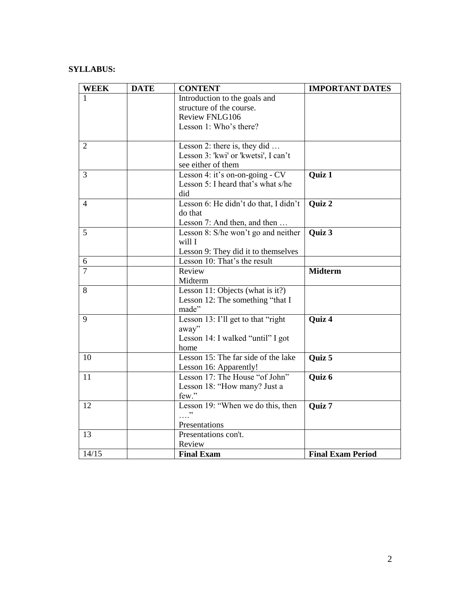## **SYLLABUS:**

| <b>WEEK</b>    | <b>DATE</b> | <b>CONTENT</b>                        | <b>IMPORTANT DATES</b>   |
|----------------|-------------|---------------------------------------|--------------------------|
| 1              |             | Introduction to the goals and         |                          |
|                |             | structure of the course.              |                          |
|                |             | <b>Review FNLG106</b>                 |                          |
|                |             | Lesson 1: Who's there?                |                          |
|                |             |                                       |                          |
| $\overline{2}$ |             | Lesson 2: there is, they did          |                          |
|                |             | Lesson 3: 'kwi' or 'kwetsi', I can't  |                          |
|                |             | see either of them                    |                          |
| 3              |             | Lesson 4: it's on-on-going - CV       | Quiz 1                   |
|                |             | Lesson 5: I heard that's what s/he    |                          |
|                |             | did                                   |                          |
| $\overline{4}$ |             | Lesson 6: He didn't do that, I didn't | Quiz 2                   |
|                |             | do that                               |                          |
|                |             | Lesson 7: And then, and then          |                          |
| 5              |             | Lesson 8: S/he won't go and neither   | Quiz 3                   |
|                |             | will I                                |                          |
|                |             | Lesson 9: They did it to themselves   |                          |
| 6              |             | Lesson 10: That's the result          |                          |
| $\overline{7}$ |             | Review                                | <b>Midterm</b>           |
|                |             | Midterm                               |                          |
| 8              |             | Lesson 11: Objects (what is it?)      |                          |
|                |             | Lesson 12: The something "that I      |                          |
|                |             | made"                                 |                          |
| 9              |             | Lesson 13: I'll get to that "right"   | Quiz 4                   |
|                |             | away"                                 |                          |
|                |             | Lesson 14: I walked "until" I got     |                          |
|                |             | home                                  |                          |
| 10             |             | Lesson 15: The far side of the lake   | Quiz 5                   |
|                |             | Lesson 16: Apparently!                |                          |
| 11             |             | Lesson 17: The House "of John"        | Quiz 6                   |
|                |             | Lesson 18: "How many? Just a          |                          |
|                |             | few."                                 |                          |
| 12             |             | Lesson 19: "When we do this, then     | Quiz 7                   |
|                |             | <sup>دد</sup> .                       |                          |
|                |             | Presentations                         |                          |
| 13             |             | Presentations con't.                  |                          |
|                |             | Review                                |                          |
| 14/15          |             | <b>Final Exam</b>                     | <b>Final Exam Period</b> |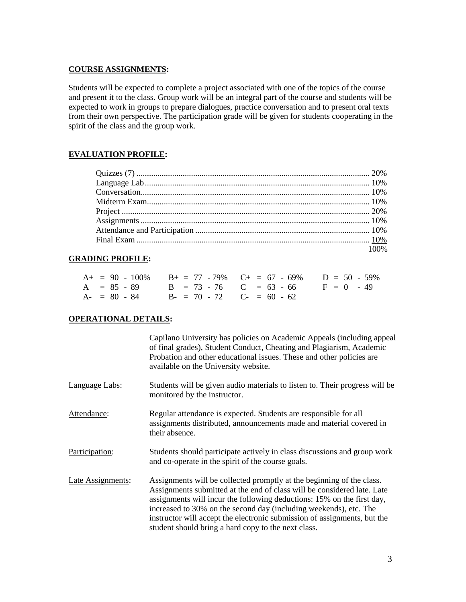## **COURSE ASSIGNMENTS:**

Students will be expected to complete a project associated with one of the topics of the course and present it to the class. Group work will be an integral part of the course and students will be expected to work in groups to prepare dialogues, practice conversation and to present oral texts from their own perspective. The participation grade will be given for students cooperating in the spirit of the class and the group work.

# **EVALUATION PROFILE:**

| 100% |
|------|

# **GRADING PROFILE:**

|  |                                           | $A_+ = 90 - 100\%$ $B_+ = 77 - 79\%$ $C_+ = 67 - 69\%$ $D = 50 - 59\%$ |  |
|--|-------------------------------------------|------------------------------------------------------------------------|--|
|  |                                           | $A = 85 - 89$ $B = 73 - 76$ $C = 63 - 66$ $F = 0 - 49$                 |  |
|  | $A = 80 - 84$ $B = 70 - 72$ $C = 60 - 62$ |                                                                        |  |

# **OPERATIONAL DETAILS:**

|                          | Capilano University has policies on Academic Appeals (including appeal<br>of final grades), Student Conduct, Cheating and Plagiarism, Academic<br>Probation and other educational issues. These and other policies are<br>available on the University website.                                                                                                                                                                     |
|--------------------------|------------------------------------------------------------------------------------------------------------------------------------------------------------------------------------------------------------------------------------------------------------------------------------------------------------------------------------------------------------------------------------------------------------------------------------|
| Language Labs:           | Students will be given audio materials to listen to. Their progress will be<br>monitored by the instructor.                                                                                                                                                                                                                                                                                                                        |
| Attendance:              | Regular attendance is expected. Students are responsible for all<br>assignments distributed, announcements made and material covered in<br>their absence.                                                                                                                                                                                                                                                                          |
| Participation:           | Students should participate actively in class discussions and group work<br>and co-operate in the spirit of the course goals.                                                                                                                                                                                                                                                                                                      |
| <b>Late Assignments:</b> | Assignments will be collected promptly at the beginning of the class.<br>Assignments submitted at the end of class will be considered late. Late<br>assignments will incur the following deductions: 15% on the first day,<br>increased to 30% on the second day (including weekends), etc. The<br>instructor will accept the electronic submission of assignments, but the<br>student should bring a hard copy to the next class. |